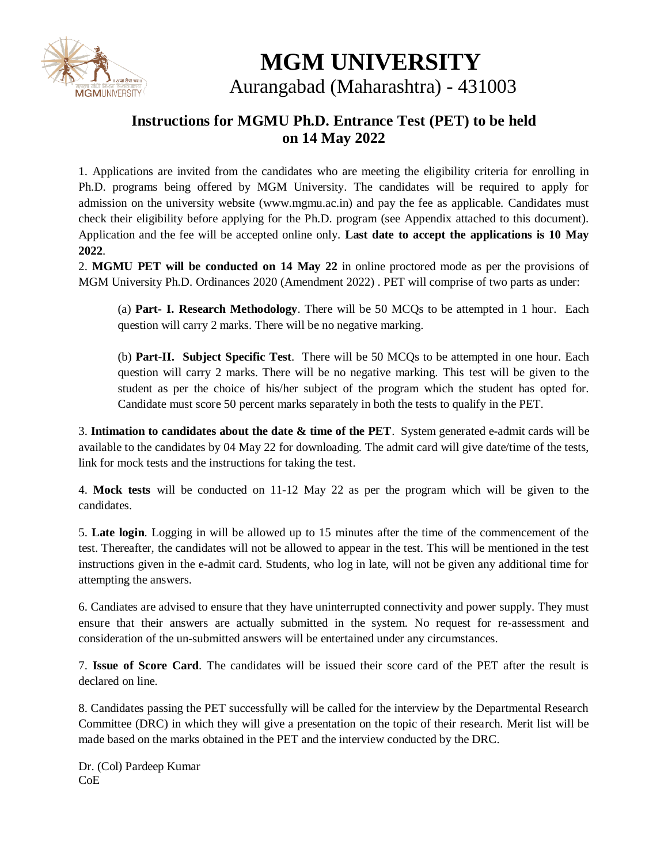

# **MGM UNIVERSITY**

Aurangabad (Maharashtra) - 431003

#### **Instructions for MGMU Ph.D. Entrance Test (PET) to be held on 14 May 2022**

1. Applications are invited from the candidates who are meeting the eligibility criteria for enrolling in Ph.D. programs being offered by MGM University. The candidates will be required to apply for admission on the university website (www.mgmu.ac.in) and pay the fee as applicable. Candidates must check their eligibility before applying for the Ph.D. program (see Appendix attached to this document). Application and the fee will be accepted online only. **Last date to accept the applications is 10 May 2022**.

2. **MGMU PET will be conducted on 14 May 22** in online proctored mode as per the provisions of MGM University Ph.D. Ordinances 2020 (Amendment 2022) . PET will comprise of two parts as under:

(a) **Part- I. Research Methodology**. There will be 50 MCQs to be attempted in 1 hour. Each question will carry 2 marks. There will be no negative marking.

(b) **Part-II. Subject Specific Test**. There will be 50 MCQs to be attempted in one hour. Each question will carry 2 marks. There will be no negative marking. This test will be given to the student as per the choice of his/her subject of the program which the student has opted for. Candidate must score 50 percent marks separately in both the tests to qualify in the PET.

3. **Intimation to candidates about the date & time of the PET**. System generated e-admit cards will be available to the candidates by 04 May 22 for downloading. The admit card will give date/time of the tests, link for mock tests and the instructions for taking the test.

4. **Mock tests** will be conducted on 11-12 May 22 as per the program which will be given to the candidates.

5. **Late login**. Logging in will be allowed up to 15 minutes after the time of the commencement of the test. Thereafter, the candidates will not be allowed to appear in the test. This will be mentioned in the test instructions given in the e-admit card. Students, who log in late, will not be given any additional time for attempting the answers.

6. Candiates are advised to ensure that they have uninterrupted connectivity and power supply. They must ensure that their answers are actually submitted in the system. No request for re-assessment and consideration of the un-submitted answers will be entertained under any circumstances.

7. **Issue of Score Card**. The candidates will be issued their score card of the PET after the result is declared on line.

8. Candidates passing the PET successfully will be called for the interview by the Departmental Research Committee (DRC) in which they will give a presentation on the topic of their research. Merit list will be made based on the marks obtained in the PET and the interview conducted by the DRC.

Dr. (Col) Pardeep Kumar CoE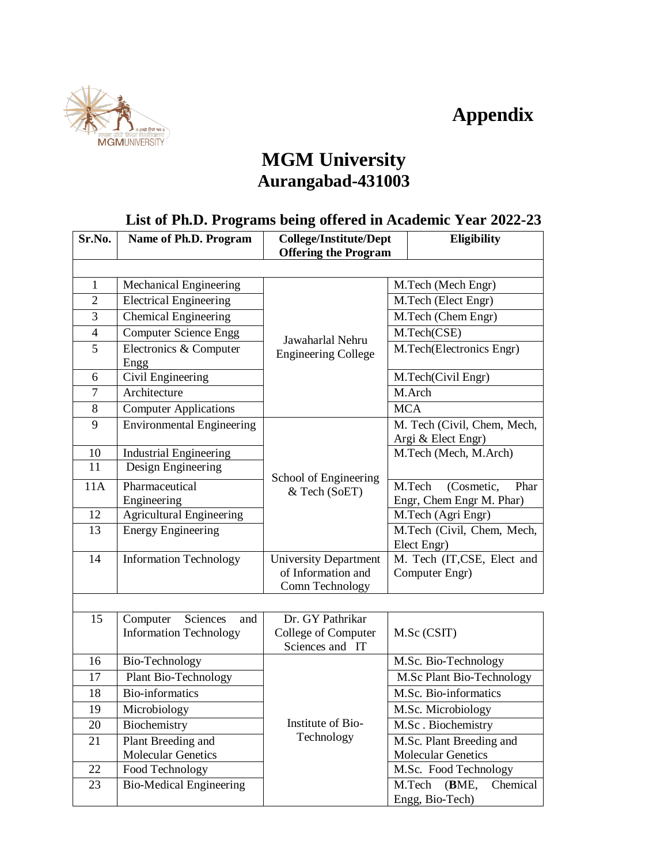## **Appendix**



### **MGM University Aurangabad-431003**

#### **List of Ph.D. Programs being offered in Academic Year 2022-23**

| Sr.No.         | Name of Ph.D. Program                                        | <b>College/Institute/Dept</b>                                         | <b>Eligibility</b>                                       |  |  |
|----------------|--------------------------------------------------------------|-----------------------------------------------------------------------|----------------------------------------------------------|--|--|
|                |                                                              | <b>Offering the Program</b>                                           |                                                          |  |  |
|                |                                                              |                                                                       |                                                          |  |  |
| 1              | Mechanical Engineering                                       |                                                                       | M.Tech (Mech Engr)                                       |  |  |
| $\overline{2}$ | <b>Electrical Engineering</b>                                |                                                                       | M.Tech (Elect Engr)                                      |  |  |
| 3              | <b>Chemical Engineering</b>                                  | Jawaharlal Nehru<br><b>Engineering College</b>                        | M.Tech (Chem Engr)                                       |  |  |
| $\overline{4}$ | <b>Computer Science Engg</b>                                 |                                                                       | M.Tech(CSE)                                              |  |  |
| 5              | Electronics & Computer<br>Engg                               |                                                                       | M.Tech(Electronics Engr)                                 |  |  |
| 6              | Civil Engineering                                            |                                                                       | M.Tech(Civil Engr)                                       |  |  |
| $\overline{7}$ | Architecture                                                 |                                                                       | M.Arch                                                   |  |  |
| 8              | <b>Computer Applications</b>                                 |                                                                       | <b>MCA</b>                                               |  |  |
| 9              | <b>Environmental Engineering</b>                             |                                                                       | M. Tech (Civil, Chem, Mech,<br>Argi & Elect Engr)        |  |  |
| 10             | <b>Industrial Engineering</b>                                |                                                                       | M.Tech (Mech, M.Arch)                                    |  |  |
| 11             | Design Engineering                                           | School of Engineering<br>& Tech (SoET)                                |                                                          |  |  |
| 11A            | Pharmaceutical<br>Engineering                                |                                                                       | M.Tech<br>(Cosmetic,<br>Phar<br>Engr, Chem Engr M. Phar) |  |  |
| 12             | <b>Agricultural Engineering</b>                              |                                                                       | M.Tech (Agri Engr)                                       |  |  |
| 13             | <b>Energy Engineering</b>                                    |                                                                       | M.Tech (Civil, Chem, Mech,<br>Elect Engr)                |  |  |
| 14             | Information Technology                                       | <b>University Department</b><br>of Information and<br>Comn Technology | M. Tech (IT,CSE, Elect and<br>Computer Engr)             |  |  |
|                |                                                              |                                                                       |                                                          |  |  |
| 15             | Computer<br>Sciences<br>and<br><b>Information Technology</b> | Dr. GY Pathrikar<br>College of Computer<br>Sciences and IT            | M.Sc (CSIT)                                              |  |  |
| 16             | Bio-Technology                                               |                                                                       | M.Sc. Bio-Technology                                     |  |  |
| 17             | Plant Bio-Technology                                         |                                                                       | M.Sc Plant Bio-Technology                                |  |  |
| 18             | <b>Bio-informatics</b>                                       |                                                                       | M.Sc. Bio-informatics                                    |  |  |
| 19             | Microbiology                                                 | Institute of Bio-                                                     | M.Sc. Microbiology                                       |  |  |
| 20             | Biochemistry                                                 |                                                                       | M.Sc. Biochemistry                                       |  |  |
| 21             | Plant Breeding and<br><b>Molecular Genetics</b>              | Technology                                                            | M.Sc. Plant Breeding and<br><b>Molecular Genetics</b>    |  |  |
| 22             | Food Technology                                              |                                                                       | M.Sc. Food Technology                                    |  |  |
| 23             | <b>Bio-Medical Engineering</b>                               |                                                                       | (BME,<br>M.Tech<br>Chemical<br>Engg, Bio-Tech)           |  |  |